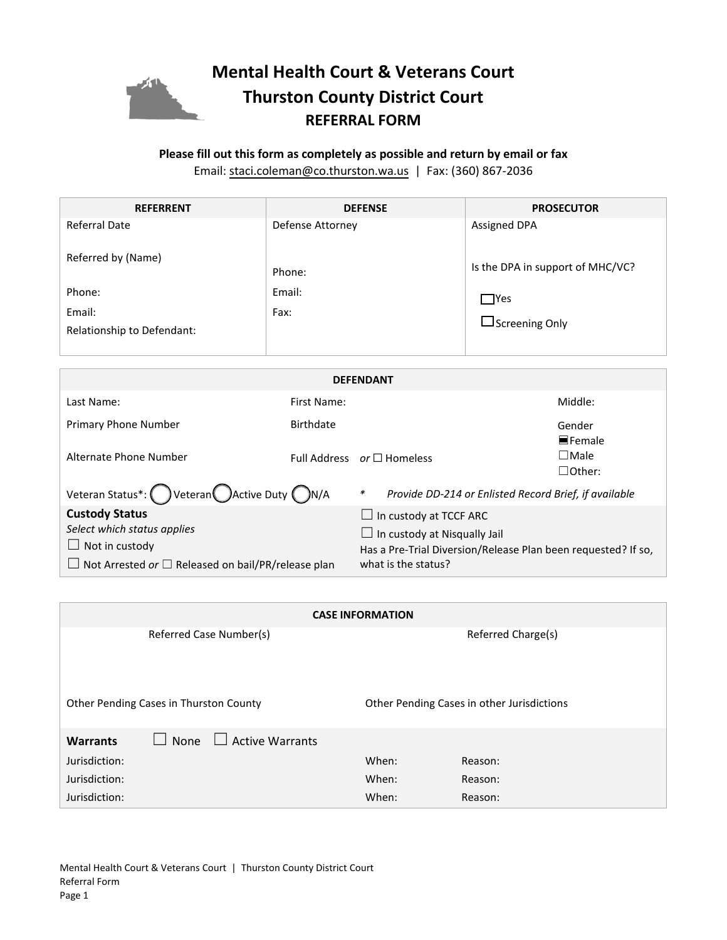

## **Please fill out this form as completely as possible and return by email or fax**

Email: staci.coleman[@co.thurston.wa.us](mailto:colemas@co.thurston.wa.us) | Fax: (360) 867-2036

| <b>REFERRENT</b>                     | <b>DEFENSE</b>   | <b>PROSECUTOR</b>                |
|--------------------------------------|------------------|----------------------------------|
| <b>Referral Date</b>                 | Defense Attorney | <b>Assigned DPA</b>              |
| Referred by (Name)                   | Phone:           | Is the DPA in support of MHC/VC? |
| Phone:                               | Email:<br>Fax:   | $\Box$ Yes                       |
| Email:<br>Relationship to Defendant: |                  | $\Box$ Screening Only            |

| <b>DEFENDANT</b>                                                                                                                                   |                                 |                                                                                                                                                              |                                                       |                                 |  |  |
|----------------------------------------------------------------------------------------------------------------------------------------------------|---------------------------------|--------------------------------------------------------------------------------------------------------------------------------------------------------------|-------------------------------------------------------|---------------------------------|--|--|
| Last Name:                                                                                                                                         | First Name:                     |                                                                                                                                                              |                                                       | Middle:                         |  |  |
| Primary Phone Number                                                                                                                               | Birthdate                       |                                                                                                                                                              |                                                       | Gender<br>$\blacksquare$ Female |  |  |
| Alternate Phone Number                                                                                                                             | Full Address $or \Box$ Homeless |                                                                                                                                                              |                                                       | $\square$ Male<br>$\Box$ Other: |  |  |
| Veteran Status*: Veteran CActive Duty CN/A                                                                                                         |                                 | $\ast$                                                                                                                                                       | Provide DD-214 or Enlisted Record Brief, if available |                                 |  |  |
| <b>Custody Status</b><br>Select which status applies<br>Not in custody<br>$\Box$<br>$\Box$ Not Arrested or $\Box$ Released on bail/PR/release plan |                                 | $\Box$ In custody at TCCF ARC<br>$\Box$ In custody at Nisqually Jail<br>Has a Pre-Trial Diversion/Release Plan been requested? If so,<br>what is the status? |                                                       |                                 |  |  |

| <b>CASE INFORMATION</b>                    |  |  |  |  |  |  |
|--------------------------------------------|--|--|--|--|--|--|
| Referred Charge(s)                         |  |  |  |  |  |  |
|                                            |  |  |  |  |  |  |
|                                            |  |  |  |  |  |  |
| Other Pending Cases in other Jurisdictions |  |  |  |  |  |  |
|                                            |  |  |  |  |  |  |
|                                            |  |  |  |  |  |  |
|                                            |  |  |  |  |  |  |
|                                            |  |  |  |  |  |  |
|                                            |  |  |  |  |  |  |
|                                            |  |  |  |  |  |  |